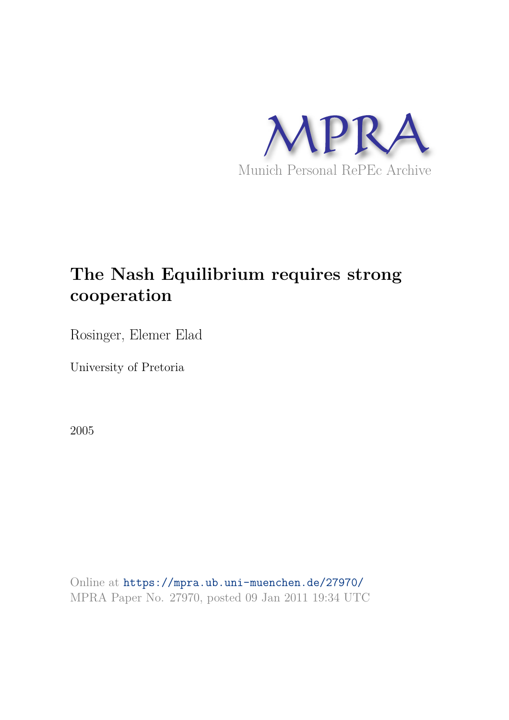

# **The Nash Equilibrium requires strong cooperation**

Rosinger, Elemer Elad

University of Pretoria

2005

Online at https://mpra.ub.uni-muenchen.de/27970/ MPRA Paper No. 27970, posted 09 Jan 2011 19:34 UTC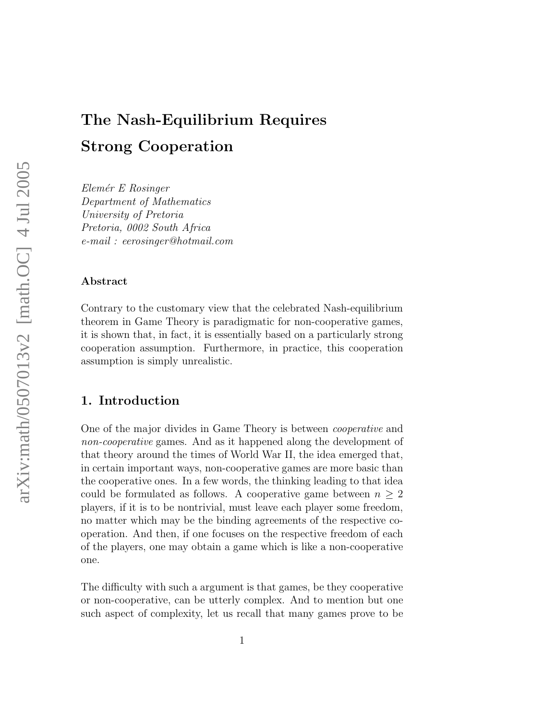# The Nash-Equilibrium Requires Strong Cooperation

Elemér E Rosinger Department of Mathematics University of Pretoria Pretoria, 0002 South Africa e-mail : eerosinger@hotmail.com

#### Abstract

Contrary to the customary view that the celebrated Nash-equilibrium theorem in Game Theory is paradigmatic for non-cooperative games, it is shown that, in fact, it is essentially based on a particularly strong cooperation assumption. Furthermore, in practice, this cooperation assumption is simply unrealistic.

# 1. Introduction

One of the major divides in Game Theory is between cooperative and non-cooperative games. And as it happened along the development of that theory around the times of World War II, the idea emerged that, in certain important ways, non-cooperative games are more basic than the cooperative ones. In a few words, the thinking leading to that idea could be formulated as follows. A cooperative game between  $n \geq 2$ players, if it is to be nontrivial, must leave each player some freedom, no matter which may be the binding agreements of the respective cooperation. And then, if one focuses on the respective freedom of each of the players, one may obtain a game which is like a non-cooperative one.

The difficulty with such a argument is that games, be they cooperative or non-cooperative, can be utterly complex. And to mention but one such aspect of complexity, let us recall that many games prove to be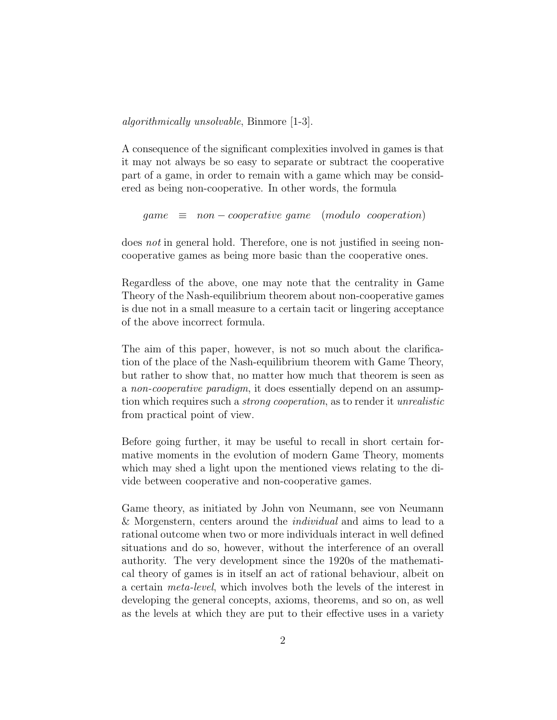algorithmically unsolvable, Binmore [1-3].

A consequence of the significant complexities involved in games is that it may not always be so easy to separate or subtract the cooperative part of a game, in order to remain with a game which may be considered as being non-cooperative. In other words, the formula

 $\theta$  qame  $\equiv$  non – cooperative game (modulo cooperation)

does not in general hold. Therefore, one is not justified in seeing noncooperative games as being more basic than the cooperative ones.

Regardless of the above, one may note that the centrality in Game Theory of the Nash-equilibrium theorem about non-cooperative games is due not in a small measure to a certain tacit or lingering acceptance of the above incorrect formula.

The aim of this paper, however, is not so much about the clarification of the place of the Nash-equilibrium theorem with Game Theory, but rather to show that, no matter how much that theorem is seen as a non-cooperative paradigm, it does essentially depend on an assumption which requires such a strong cooperation, as to render it unrealistic from practical point of view.

Before going further, it may be useful to recall in short certain formative moments in the evolution of modern Game Theory, moments which may shed a light upon the mentioned views relating to the divide between cooperative and non-cooperative games.

Game theory, as initiated by John von Neumann, see von Neumann & Morgenstern, centers around the individual and aims to lead to a rational outcome when two or more individuals interact in well defined situations and do so, however, without the interference of an overall authority. The very development since the 1920s of the mathematical theory of games is in itself an act of rational behaviour, albeit on a certain meta-level, which involves both the levels of the interest in developing the general concepts, axioms, theorems, and so on, as well as the levels at which they are put to their effective uses in a variety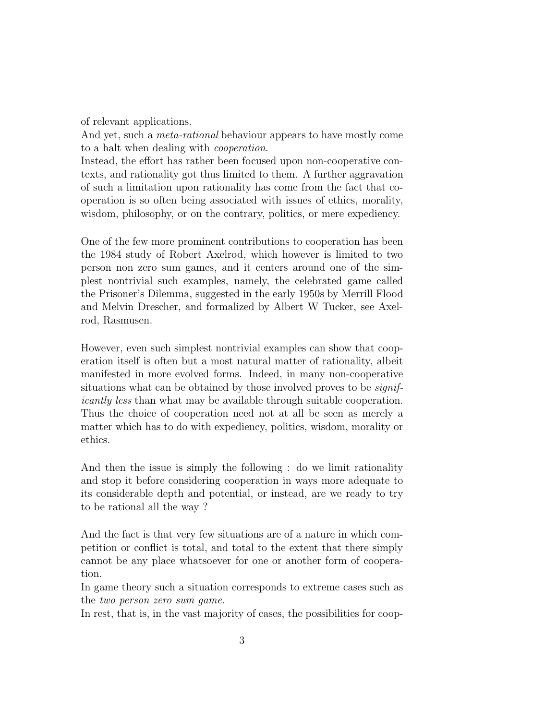of relevant applications.

And yet, such a meta-rational behaviour appears to have mostly come to a halt when dealing with cooperation.

Instead, the effort has rather been focused upon non-cooperative contexts, and rationality got thus limited to them. A further aggravation of such a limitation upon rationality has come from the fact that cooperation is so often being associated with issues of ethics, morality, wisdom, philosophy, or on the contrary, politics, or mere expediency.

One of the few more prominent contributions to cooperation has been the 1984 study of Robert Axelrod, which however is limited to two person non zero sum games, and it centers around one of the simplest nontrivial such examples, namely, the celebrated game called the Prisoner's Dilemma, suggested in the early 1950s by Merrill Flood and Melvin Drescher, and formalized by Albert W Tucker, see Axelrod, Rasmusen.

However, even such simplest nontrivial examples can show that cooperation itself is often but a most natural matter of rationality, albeit manifested in more evolved forms. Indeed, in many non-cooperative situations what can be obtained by those involved proves to be *signif*icantly less than what may be available through suitable cooperation. Thus the choice of cooperation need not at all be seen as merely a matter which has to do with expediency, politics, wisdom, morality or ethics.

And then the issue is simply the following : do we limit rationality and stop it before considering cooperation in ways more adequate to its considerable depth and potential, or instead, are we ready to try to be rational all the way ?

And the fact is that very few situations are of a nature in which competition or conflict is total, and total to the extent that there simply cannot be any place whatsoever for one or another form of cooperation.

In game theory such a situation corresponds to extreme cases such as the two person zero sum game.

In rest, that is, in the vast majority of cases, the possibilities for coop-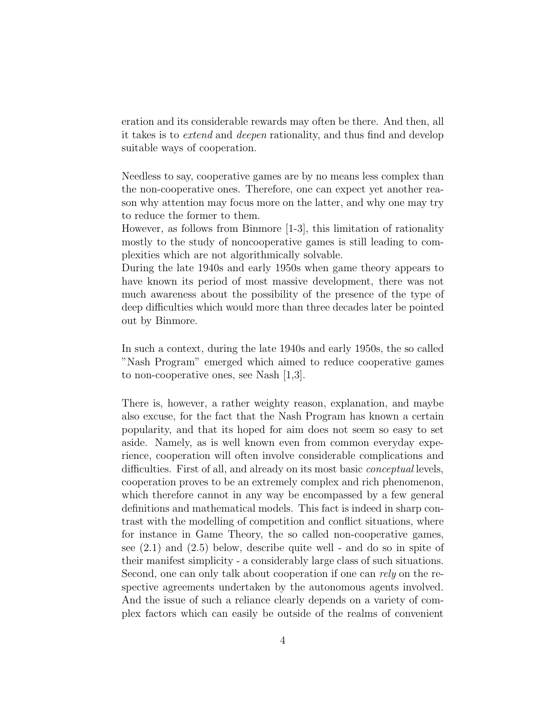eration and its considerable rewards may often be there. And then, all it takes is to extend and deepen rationality, and thus find and develop suitable ways of cooperation.

Needless to say, cooperative games are by no means less complex than the non-cooperative ones. Therefore, one can expect yet another reason why attention may focus more on the latter, and why one may try to reduce the former to them.

However, as follows from Binmore [1-3], this limitation of rationality mostly to the study of noncooperative games is still leading to complexities which are not algorithmically solvable.

During the late 1940s and early 1950s when game theory appears to have known its period of most massive development, there was not much awareness about the possibility of the presence of the type of deep difficulties which would more than three decades later be pointed out by Binmore.

In such a context, during the late 1940s and early 1950s, the so called "Nash Program" emerged which aimed to reduce cooperative games to non-cooperative ones, see Nash [1,3].

There is, however, a rather weighty reason, explanation, and maybe also excuse, for the fact that the Nash Program has known a certain popularity, and that its hoped for aim does not seem so easy to set aside. Namely, as is well known even from common everyday experience, cooperation will often involve considerable complications and difficulties. First of all, and already on its most basic *conceptual* levels, cooperation proves to be an extremely complex and rich phenomenon, which therefore cannot in any way be encompassed by a few general definitions and mathematical models. This fact is indeed in sharp contrast with the modelling of competition and conflict situations, where for instance in Game Theory, the so called non-cooperative games, see (2.1) and (2.5) below, describe quite well - and do so in spite of their manifest simplicity - a considerably large class of such situations. Second, one can only talk about cooperation if one can rely on the respective agreements undertaken by the autonomous agents involved. And the issue of such a reliance clearly depends on a variety of complex factors which can easily be outside of the realms of convenient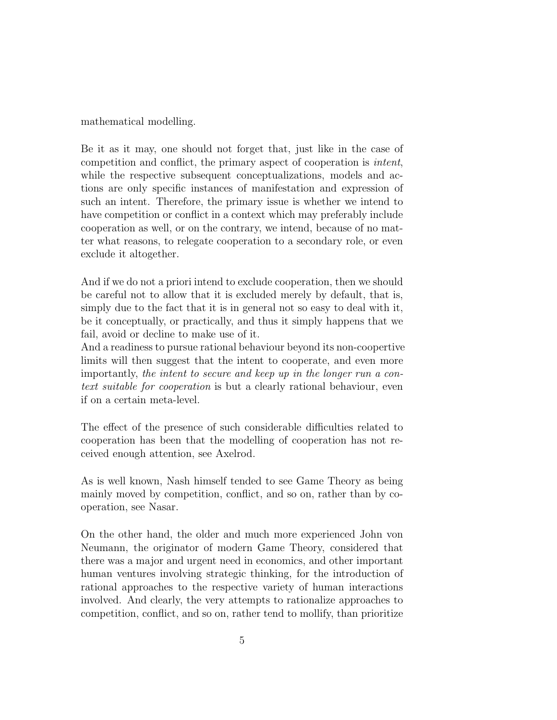mathematical modelling.

Be it as it may, one should not forget that, just like in the case of competition and conflict, the primary aspect of cooperation is intent, while the respective subsequent conceptualizations, models and actions are only specific instances of manifestation and expression of such an intent. Therefore, the primary issue is whether we intend to have competition or conflict in a context which may preferably include cooperation as well, or on the contrary, we intend, because of no matter what reasons, to relegate cooperation to a secondary role, or even exclude it altogether.

And if we do not a priori intend to exclude cooperation, then we should be careful not to allow that it is excluded merely by default, that is, simply due to the fact that it is in general not so easy to deal with it, be it conceptually, or practically, and thus it simply happens that we fail, avoid or decline to make use of it.

And a readiness to pursue rational behaviour beyond its non-coopertive limits will then suggest that the intent to cooperate, and even more importantly, the intent to secure and keep up in the longer run a context suitable for cooperation is but a clearly rational behaviour, even if on a certain meta-level.

The effect of the presence of such considerable difficulties related to cooperation has been that the modelling of cooperation has not received enough attention, see Axelrod.

As is well known, Nash himself tended to see Game Theory as being mainly moved by competition, conflict, and so on, rather than by cooperation, see Nasar.

On the other hand, the older and much more experienced John von Neumann, the originator of modern Game Theory, considered that there was a major and urgent need in economics, and other important human ventures involving strategic thinking, for the introduction of rational approaches to the respective variety of human interactions involved. And clearly, the very attempts to rationalize approaches to competition, conflict, and so on, rather tend to mollify, than prioritize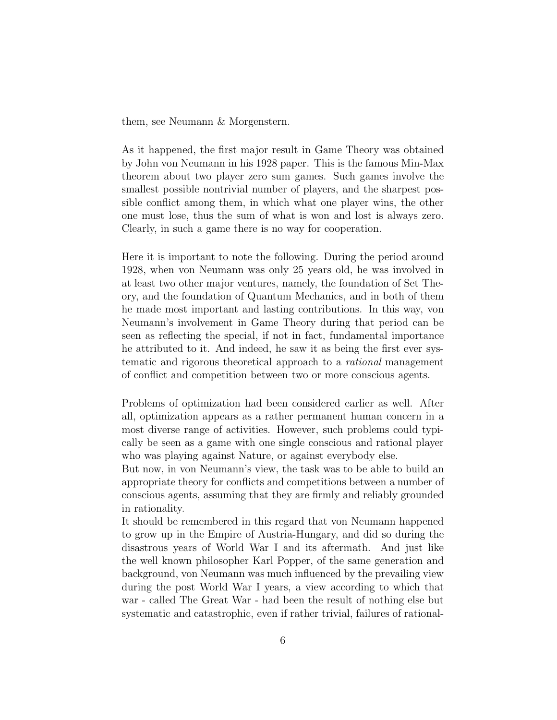them, see Neumann & Morgenstern.

As it happened, the first major result in Game Theory was obtained by John von Neumann in his 1928 paper. This is the famous Min-Max theorem about two player zero sum games. Such games involve the smallest possible nontrivial number of players, and the sharpest possible conflict among them, in which what one player wins, the other one must lose, thus the sum of what is won and lost is always zero. Clearly, in such a game there is no way for cooperation.

Here it is important to note the following. During the period around 1928, when von Neumann was only 25 years old, he was involved in at least two other major ventures, namely, the foundation of Set Theory, and the foundation of Quantum Mechanics, and in both of them he made most important and lasting contributions. In this way, von Neumann's involvement in Game Theory during that period can be seen as reflecting the special, if not in fact, fundamental importance he attributed to it. And indeed, he saw it as being the first ever systematic and rigorous theoretical approach to a rational management of conflict and competition between two or more conscious agents.

Problems of optimization had been considered earlier as well. After all, optimization appears as a rather permanent human concern in a most diverse range of activities. However, such problems could typically be seen as a game with one single conscious and rational player who was playing against Nature, or against everybody else.

But now, in von Neumann's view, the task was to be able to build an appropriate theory for conflicts and competitions between a number of conscious agents, assuming that they are firmly and reliably grounded in rationality.

It should be remembered in this regard that von Neumann happened to grow up in the Empire of Austria-Hungary, and did so during the disastrous years of World War I and its aftermath. And just like the well known philosopher Karl Popper, of the same generation and background, von Neumann was much influenced by the prevailing view during the post World War I years, a view according to which that war - called The Great War - had been the result of nothing else but systematic and catastrophic, even if rather trivial, failures of rational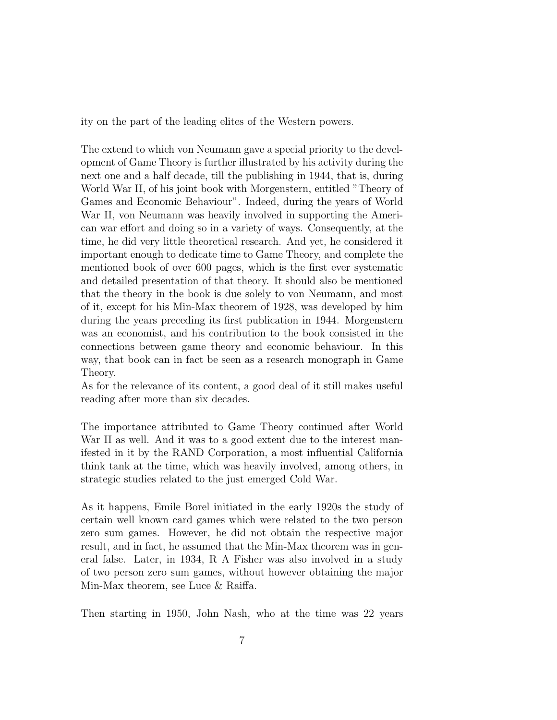ity on the part of the leading elites of the Western powers.

The extend to which von Neumann gave a special priority to the development of Game Theory is further illustrated by his activity during the next one and a half decade, till the publishing in 1944, that is, during World War II, of his joint book with Morgenstern, entitled "Theory of Games and Economic Behaviour". Indeed, during the years of World War II, von Neumann was heavily involved in supporting the American war effort and doing so in a variety of ways. Consequently, at the time, he did very little theoretical research. And yet, he considered it important enough to dedicate time to Game Theory, and complete the mentioned book of over 600 pages, which is the first ever systematic and detailed presentation of that theory. It should also be mentioned that the theory in the book is due solely to von Neumann, and most of it, except for his Min-Max theorem of 1928, was developed by him during the years preceding its first publication in 1944. Morgenstern was an economist, and his contribution to the book consisted in the connections between game theory and economic behaviour. In this way, that book can in fact be seen as a research monograph in Game Theory.

As for the relevance of its content, a good deal of it still makes useful reading after more than six decades.

The importance attributed to Game Theory continued after World War II as well. And it was to a good extent due to the interest manifested in it by the RAND Corporation, a most influential California think tank at the time, which was heavily involved, among others, in strategic studies related to the just emerged Cold War.

As it happens, Emile Borel initiated in the early 1920s the study of certain well known card games which were related to the two person zero sum games. However, he did not obtain the respective major result, and in fact, he assumed that the Min-Max theorem was in general false. Later, in 1934, R A Fisher was also involved in a study of two person zero sum games, without however obtaining the major Min-Max theorem, see Luce & Raiffa.

Then starting in 1950, John Nash, who at the time was 22 years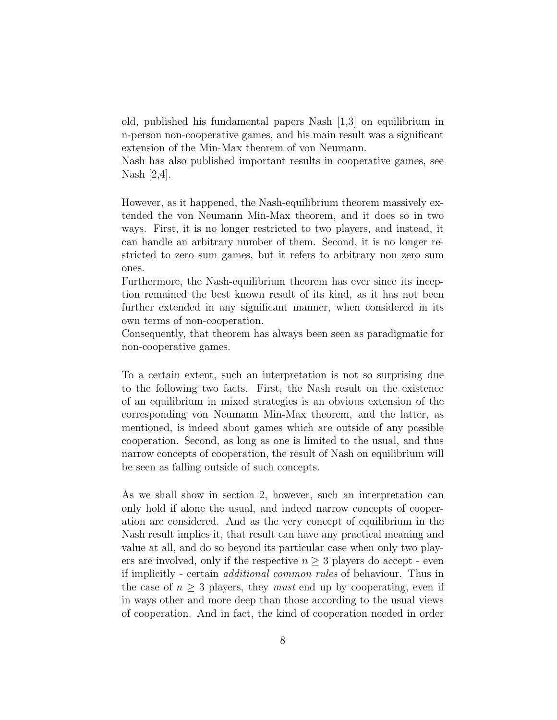old, published his fundamental papers Nash [1,3] on equilibrium in n-person non-cooperative games, and his main result was a significant extension of the Min-Max theorem of von Neumann.

Nash has also published important results in cooperative games, see Nash [2,4].

However, as it happened, the Nash-equilibrium theorem massively extended the von Neumann Min-Max theorem, and it does so in two ways. First, it is no longer restricted to two players, and instead, it can handle an arbitrary number of them. Second, it is no longer restricted to zero sum games, but it refers to arbitrary non zero sum ones.

Furthermore, the Nash-equilibrium theorem has ever since its inception remained the best known result of its kind, as it has not been further extended in any significant manner, when considered in its own terms of non-cooperation.

Consequently, that theorem has always been seen as paradigmatic for non-cooperative games.

To a certain extent, such an interpretation is not so surprising due to the following two facts. First, the Nash result on the existence of an equilibrium in mixed strategies is an obvious extension of the corresponding von Neumann Min-Max theorem, and the latter, as mentioned, is indeed about games which are outside of any possible cooperation. Second, as long as one is limited to the usual, and thus narrow concepts of cooperation, the result of Nash on equilibrium will be seen as falling outside of such concepts.

As we shall show in section 2, however, such an interpretation can only hold if alone the usual, and indeed narrow concepts of cooperation are considered. And as the very concept of equilibrium in the Nash result implies it, that result can have any practical meaning and value at all, and do so beyond its particular case when only two players are involved, only if the respective  $n \geq 3$  players do accept - even if implicitly - certain additional common rules of behaviour. Thus in the case of  $n \geq 3$  players, they *must* end up by cooperating, even if in ways other and more deep than those according to the usual views of cooperation. And in fact, the kind of cooperation needed in order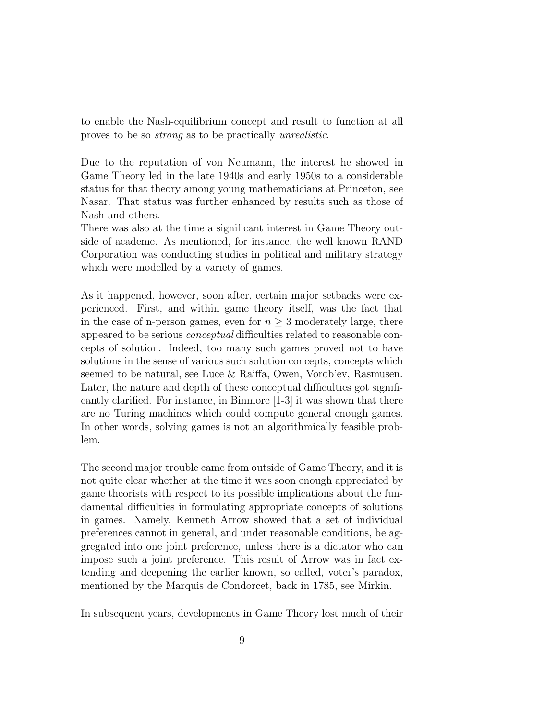to enable the Nash-equilibrium concept and result to function at all proves to be so strong as to be practically unrealistic.

Due to the reputation of von Neumann, the interest he showed in Game Theory led in the late 1940s and early 1950s to a considerable status for that theory among young mathematicians at Princeton, see Nasar. That status was further enhanced by results such as those of Nash and others.

There was also at the time a significant interest in Game Theory outside of academe. As mentioned, for instance, the well known RAND Corporation was conducting studies in political and military strategy which were modelled by a variety of games.

As it happened, however, soon after, certain major setbacks were experienced. First, and within game theory itself, was the fact that in the case of n-person games, even for  $n \geq 3$  moderately large, there appeared to be serious conceptual difficulties related to reasonable concepts of solution. Indeed, too many such games proved not to have solutions in the sense of various such solution concepts, concepts which seemed to be natural, see Luce & Raiffa, Owen, Vorob'ev, Rasmusen. Later, the nature and depth of these conceptual difficulties got significantly clarified. For instance, in Binmore [1-3] it was shown that there are no Turing machines which could compute general enough games. In other words, solving games is not an algorithmically feasible problem.

The second major trouble came from outside of Game Theory, and it is not quite clear whether at the time it was soon enough appreciated by game theorists with respect to its possible implications about the fundamental difficulties in formulating appropriate concepts of solutions in games. Namely, Kenneth Arrow showed that a set of individual preferences cannot in general, and under reasonable conditions, be aggregated into one joint preference, unless there is a dictator who can impose such a joint preference. This result of Arrow was in fact extending and deepening the earlier known, so called, voter's paradox, mentioned by the Marquis de Condorcet, back in 1785, see Mirkin.

In subsequent years, developments in Game Theory lost much of their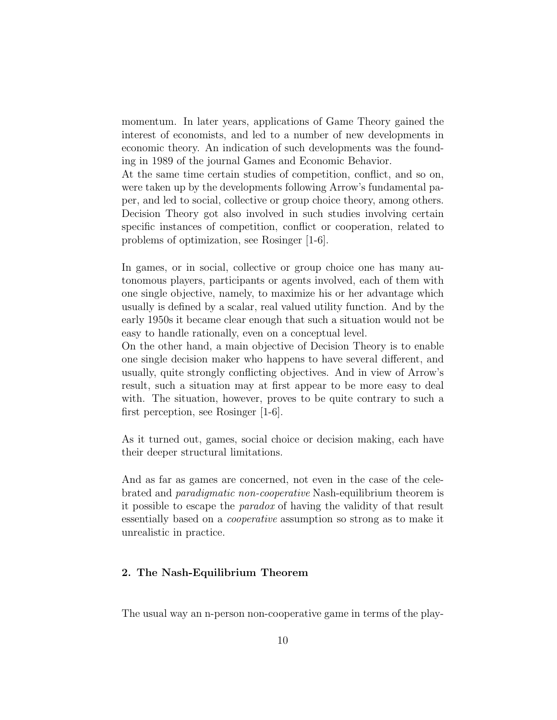momentum. In later years, applications of Game Theory gained the interest of economists, and led to a number of new developments in economic theory. An indication of such developments was the founding in 1989 of the journal Games and Economic Behavior.

At the same time certain studies of competition, conflict, and so on, were taken up by the developments following Arrow's fundamental paper, and led to social, collective or group choice theory, among others. Decision Theory got also involved in such studies involving certain specific instances of competition, conflict or cooperation, related to problems of optimization, see Rosinger [1-6].

In games, or in social, collective or group choice one has many autonomous players, participants or agents involved, each of them with one single objective, namely, to maximize his or her advantage which usually is defined by a scalar, real valued utility function. And by the early 1950s it became clear enough that such a situation would not be easy to handle rationally, even on a conceptual level.

On the other hand, a main objective of Decision Theory is to enable one single decision maker who happens to have several different, and usually, quite strongly conflicting objectives. And in view of Arrow's result, such a situation may at first appear to be more easy to deal with. The situation, however, proves to be quite contrary to such a first perception, see Rosinger [1-6].

As it turned out, games, social choice or decision making, each have their deeper structural limitations.

And as far as games are concerned, not even in the case of the celebrated and paradigmatic non-cooperative Nash-equilibrium theorem is it possible to escape the paradox of having the validity of that result essentially based on a cooperative assumption so strong as to make it unrealistic in practice.

# 2. The Nash-Equilibrium Theorem

The usual way an n-person non-cooperative game in terms of the play-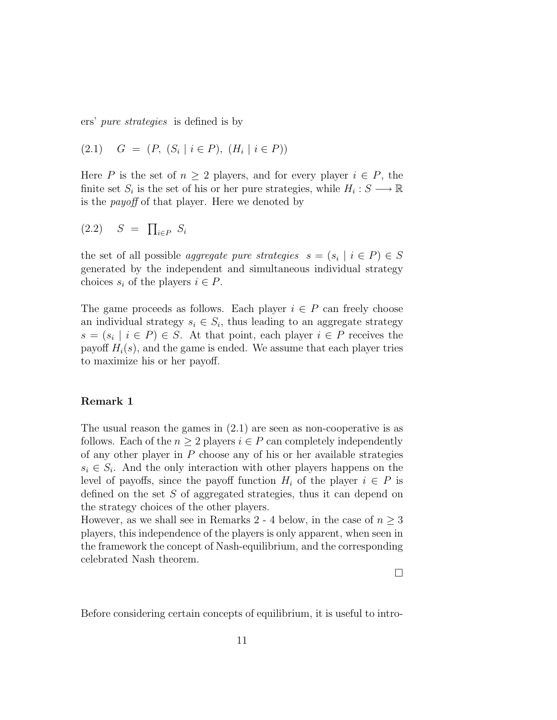ers' pure strategies is defined is by

$$
(2.1) \quad G = (P, (S_i \mid i \in P), (H_i \mid i \in P))
$$

Here P is the set of  $n \geq 2$  players, and for every player  $i \in P$ , the finite set  $S_i$  is the set of his or her pure strategies, while  $H_i: S \longrightarrow \mathbb{R}$ is the payoff of that player. Here we denoted by

$$
(2.2) \quad S = \prod_{i \in P} S_i
$$

the set of all possible *aggregate pure strategies*  $s = (s_i \mid i \in P) \in S$ generated by the independent and simultaneous individual strategy choices  $s_i$  of the players  $i \in P$ .

The game proceeds as follows. Each player  $i \in P$  can freely choose an individual strategy  $s_i \in S_i$ , thus leading to an aggregate strategy  $s = (s_i \mid i \in P) \in S$ . At that point, each player  $i \in P$  receives the payoff  $H_i(s)$ , and the game is ended. We assume that each player tries to maximize his or her payoff.

#### Remark 1

The usual reason the games in (2.1) are seen as non-cooperative is as follows. Each of the  $n \geq 2$  players  $i \in P$  can completely independently of any other player in  $P$  choose any of his or her available strategies  $s_i \in S_i$ . And the only interaction with other players happens on the level of payoffs, since the payoff function  $H_i$  of the player  $i \in P$  is defined on the set S of aggregated strategies, thus it can depend on the strategy choices of the other players.

However, as we shall see in Remarks 2 - 4 below, in the case of  $n \geq 3$ players, this independence of the players is only apparent, when seen in the framework the concept of Nash-equilibrium, and the corresponding celebrated Nash theorem.

 $\Box$ 

Before considering certain concepts of equilibrium, it is useful to intro-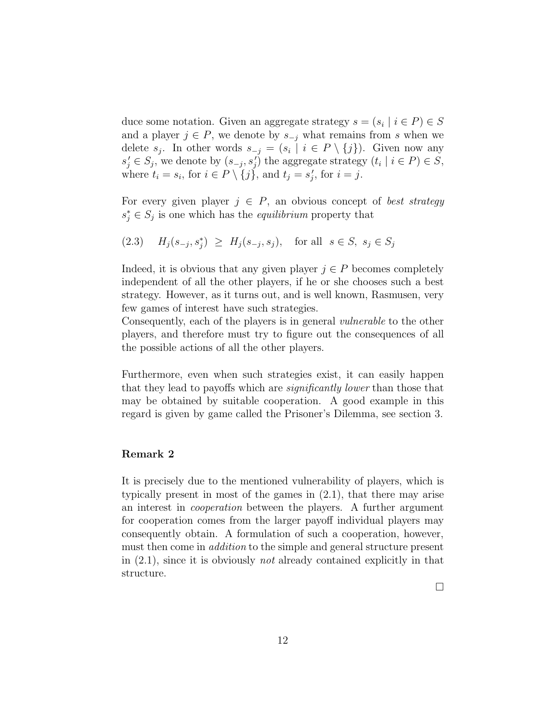duce some notation. Given an aggregate strategy  $s = (s_i \mid i \in P) \in S$ and a player  $j \in P$ , we denote by  $s_{-i}$  what remains from s when we delete  $s_j$ . In other words  $s_{-j} = (s_i \mid i \in P \setminus \{j\})$ . Given now any  $s'_j \in S_j$ , we denote by  $(s_{-j}, s'_j)$  the aggregate strategy  $(t_i \mid i \in P) \in S$ , where  $t_i = s_i$ , for  $i \in P \setminus \{j\}$ , and  $t_j = s'_j$  $'_{j}$ , for  $i = j$ .

For every given player  $j \in P$ , an obvious concept of *best strategy*  $s_j^* \in S_j$  is one which has the *equilibrium* property that

$$
(2.3) \tHj(s-j, sj*) \geq Hj(s-j, sj), \tfor all  $s \in S$ ,  $sj \in Sj$
$$

Indeed, it is obvious that any given player  $j \in P$  becomes completely independent of all the other players, if he or she chooses such a best strategy. However, as it turns out, and is well known, Rasmusen, very few games of interest have such strategies.

Consequently, each of the players is in general vulnerable to the other players, and therefore must try to figure out the consequences of all the possible actions of all the other players.

Furthermore, even when such strategies exist, it can easily happen that they lead to payoffs which are significantly lower than those that may be obtained by suitable cooperation. A good example in this regard is given by game called the Prisoner's Dilemma, see section 3.

### Remark 2

It is precisely due to the mentioned vulnerability of players, which is typically present in most of the games in (2.1), that there may arise an interest in cooperation between the players. A further argument for cooperation comes from the larger payoff individual players may consequently obtain. A formulation of such a cooperation, however, must then come in *addition* to the simple and general structure present in  $(2.1)$ , since it is obviously *not* already contained explicitly in that structure.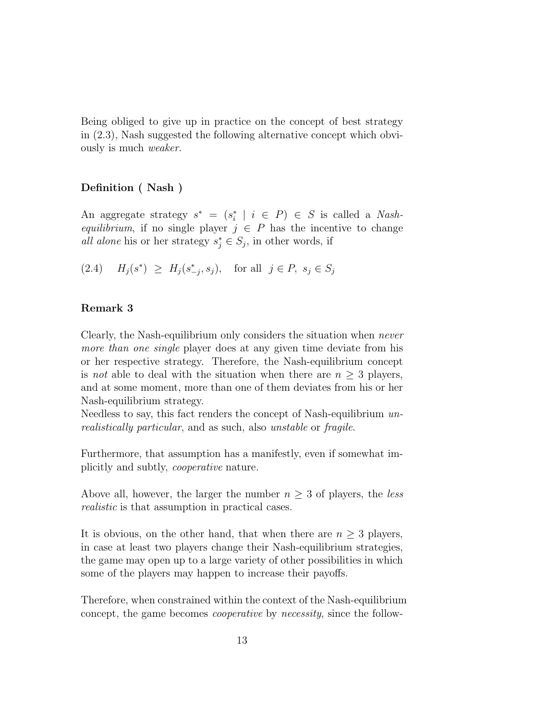Being obliged to give up in practice on the concept of best strategy in (2.3), Nash suggested the following alternative concept which obviously is much weaker.

# Definition ( Nash )

An aggregate strategy  $s^* = (s_i^*)$  $i \mid i \in P$ )  $\in S$  is called a *Nash*equilibrium, if no single player  $j \in P$  has the incentive to change all alone his or her strategy  $s_j^* \in S_j$ , in other words, if

(2.4)  $H_j(s^*) \geq H_j(s^*_{-j}, s_j)$ , for all  $j \in P$ ,  $s_j \in S_j$ 

# Remark 3

Clearly, the Nash-equilibrium only considers the situation when never more than one single player does at any given time deviate from his or her respective strategy. Therefore, the Nash-equilibrium concept is not able to deal with the situation when there are  $n \geq 3$  players, and at some moment, more than one of them deviates from his or her Nash-equilibrium strategy.

Needless to say, this fact renders the concept of Nash-equilibrium unrealistically particular, and as such, also unstable or fragile.

Furthermore, that assumption has a manifestly, even if somewhat implicitly and subtly, cooperative nature.

Above all, however, the larger the number  $n \geq 3$  of players, the less realistic is that assumption in practical cases.

It is obvious, on the other hand, that when there are  $n \geq 3$  players, in case at least two players change their Nash-equilibrium strategies, the game may open up to a large variety of other possibilities in which some of the players may happen to increase their payoffs.

Therefore, when constrained within the context of the Nash-equilibrium concept, the game becomes cooperative by necessity, since the follow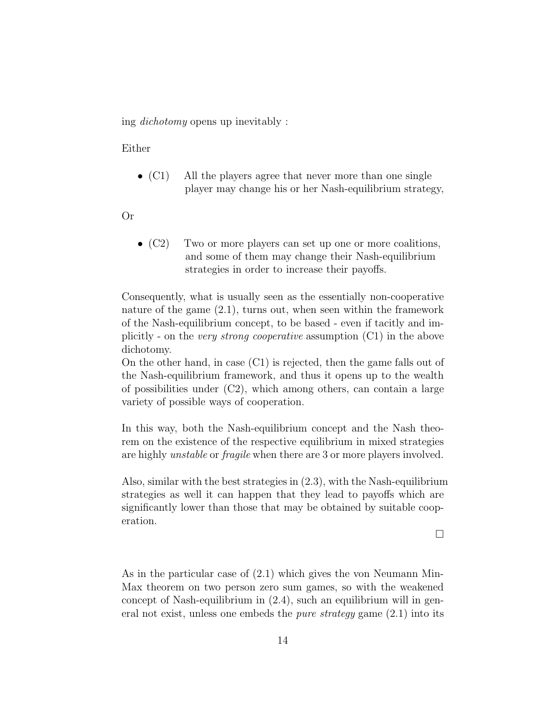ing dichotomy opens up inevitably :

Either

• (C1) All the players agree that never more than one single player may change his or her Nash-equilibrium strategy,

Or

• (C2) Two or more players can set up one or more coalitions, and some of them may change their Nash-equilibrium strategies in order to increase their payoffs.

Consequently, what is usually seen as the essentially non-cooperative nature of the game (2.1), turns out, when seen within the framework of the Nash-equilibrium concept, to be based - even if tacitly and implicitly - on the *very strong cooperative* assumption  $(C1)$  in the above dichotomy.

On the other hand, in case (C1) is rejected, then the game falls out of the Nash-equilibrium framework, and thus it opens up to the wealth of possibilities under (C2), which among others, can contain a large variety of possible ways of cooperation.

In this way, both the Nash-equilibrium concept and the Nash theorem on the existence of the respective equilibrium in mixed strategies are highly unstable or fragile when there are 3 or more players involved.

Also, similar with the best strategies in (2.3), with the Nash-equilibrium strategies as well it can happen that they lead to payoffs which are significantly lower than those that may be obtained by suitable cooperation.

 $\Box$ 

As in the particular case of (2.1) which gives the von Neumann Min-Max theorem on two person zero sum games, so with the weakened concept of Nash-equilibrium in (2.4), such an equilibrium will in general not exist, unless one embeds the *pure strategy* game  $(2.1)$  into its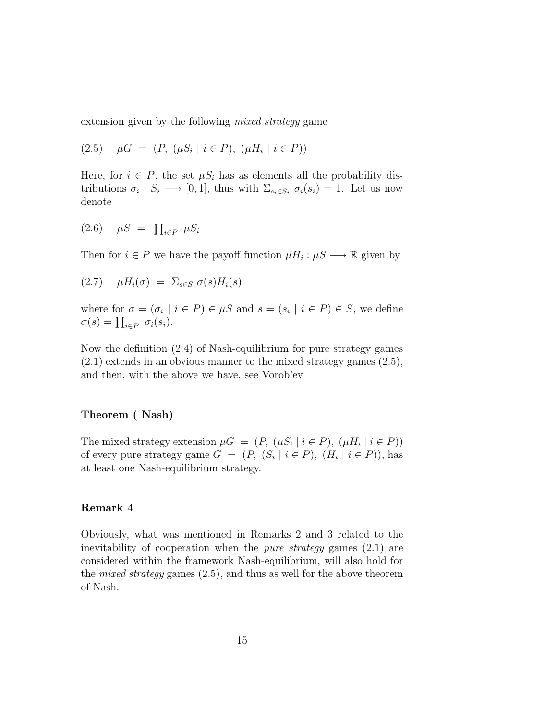extension given by the following *mixed strategy* game

$$
(2.5) \quad \mu G = (P, \ (\mu S_i \mid i \in P), \ (\mu H_i \mid i \in P))
$$

Here, for  $i \in P$ , the set  $\mu S_i$  has as elements all the probability distributions  $\sigma_i : S_i \longrightarrow [0,1]$ , thus with  $\Sigma_{s_i \in S_i} \sigma_i(s_i) = 1$ . Let us now denote

$$
(2.6) \quad \mu S = \prod_{i \in P} \mu S_i
$$

Then for  $i \in P$  we have the payoff function  $\mu H_i : \mu S \longrightarrow \mathbb{R}$  given by

$$
(2.7) \quad \mu H_i(\sigma) = \sum_{s \in S} \sigma(s) H_i(s)
$$

where for  $\sigma = (\sigma_i \mid i \in P) \in \mu S$  and  $s = (s_i \mid i \in P) \in S$ , we define  $\sigma(s) = \prod_{i \in P} \sigma_i(s_i).$ 

Now the definition (2.4) of Nash-equilibrium for pure strategy games (2.1) extends in an obvious manner to the mixed strategy games (2.5), and then, with the above we have, see Vorob'ev

# Theorem ( Nash)

The mixed strategy extension  $\mu G = (P, (\mu S_i | i \in P), (\mu H_i | i \in P))$ of every pure strategy game  $G = (P, (S_i | i \in P), (H_i | i \in P))$ , has at least one Nash-equilibrium strategy.

# Remark 4

Obviously, what was mentioned in Remarks 2 and 3 related to the inevitability of cooperation when the pure strategy games (2.1) are considered within the framework Nash-equilibrium, will also hold for the *mixed strategy* games  $(2.5)$ , and thus as well for the above theorem of Nash.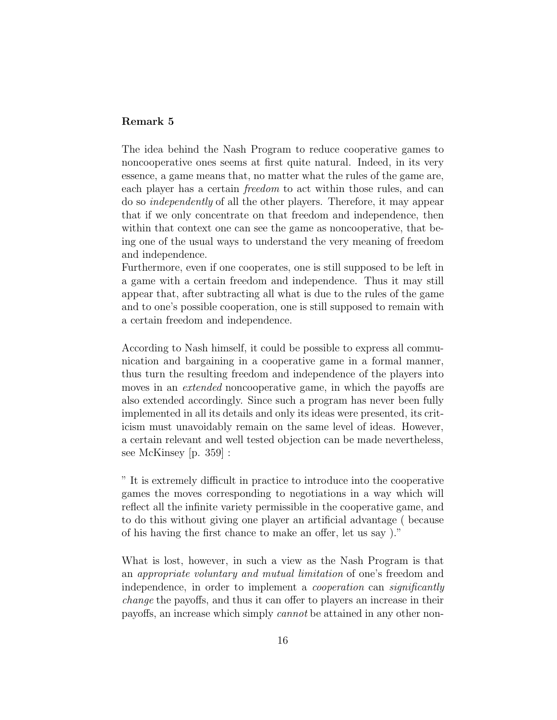# Remark 5

The idea behind the Nash Program to reduce cooperative games to noncooperative ones seems at first quite natural. Indeed, in its very essence, a game means that, no matter what the rules of the game are, each player has a certain freedom to act within those rules, and can do so independently of all the other players. Therefore, it may appear that if we only concentrate on that freedom and independence, then within that context one can see the game as noncooperative, that being one of the usual ways to understand the very meaning of freedom and independence.

Furthermore, even if one cooperates, one is still supposed to be left in a game with a certain freedom and independence. Thus it may still appear that, after subtracting all what is due to the rules of the game and to one's possible cooperation, one is still supposed to remain with a certain freedom and independence.

According to Nash himself, it could be possible to express all communication and bargaining in a cooperative game in a formal manner, thus turn the resulting freedom and independence of the players into moves in an *extended* noncooperative game, in which the payoffs are also extended accordingly. Since such a program has never been fully implemented in all its details and only its ideas were presented, its criticism must unavoidably remain on the same level of ideas. However, a certain relevant and well tested objection can be made nevertheless, see McKinsey [p. 359] :

" It is extremely difficult in practice to introduce into the cooperative games the moves corresponding to negotiations in a way which will reflect all the infinite variety permissible in the cooperative game, and to do this without giving one player an artificial advantage ( because of his having the first chance to make an offer, let us say )."

What is lost, however, in such a view as the Nash Program is that an appropriate voluntary and mutual limitation of one's freedom and independence, in order to implement a *cooperation* can *significantly* change the payoffs, and thus it can offer to players an increase in their payoffs, an increase which simply cannot be attained in any other non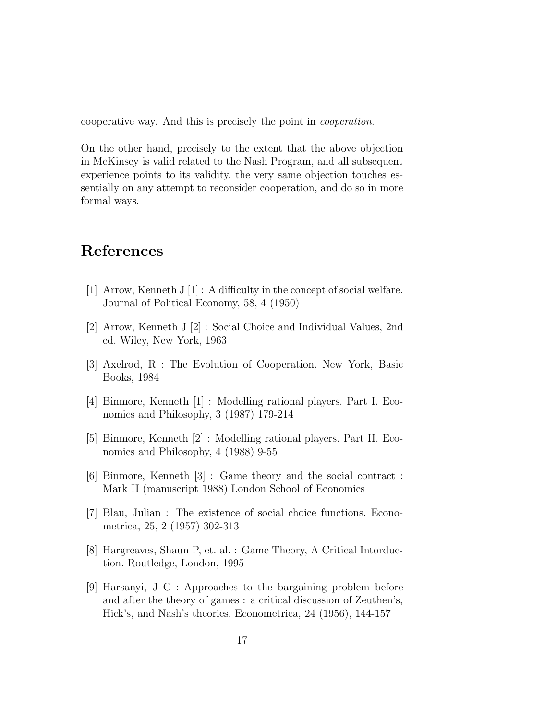cooperative way. And this is precisely the point in cooperation.

On the other hand, precisely to the extent that the above objection in McKinsey is valid related to the Nash Program, and all subsequent experience points to its validity, the very same objection touches essentially on any attempt to reconsider cooperation, and do so in more formal ways.

# References

- [1] Arrow, Kenneth J [1] : A difficulty in the concept of social welfare. Journal of Political Economy, 58, 4 (1950)
- [2] Arrow, Kenneth J [2] : Social Choice and Individual Values, 2nd ed. Wiley, New York, 1963
- [3] Axelrod, R : The Evolution of Cooperation. New York, Basic Books, 1984
- [4] Binmore, Kenneth [1] : Modelling rational players. Part I. Economics and Philosophy, 3 (1987) 179-214
- [5] Binmore, Kenneth [2] : Modelling rational players. Part II. Economics and Philosophy, 4 (1988) 9-55
- [6] Binmore, Kenneth [3] : Game theory and the social contract : Mark II (manuscript 1988) London School of Economics
- [7] Blau, Julian : The existence of social choice functions. Econometrica, 25, 2 (1957) 302-313
- [8] Hargreaves, Shaun P, et. al. : Game Theory, A Critical Intorduction. Routledge, London, 1995
- [9] Harsanyi, J C : Approaches to the bargaining problem before and after the theory of games : a critical discussion of Zeuthen's, Hick's, and Nash's theories. Econometrica, 24 (1956), 144-157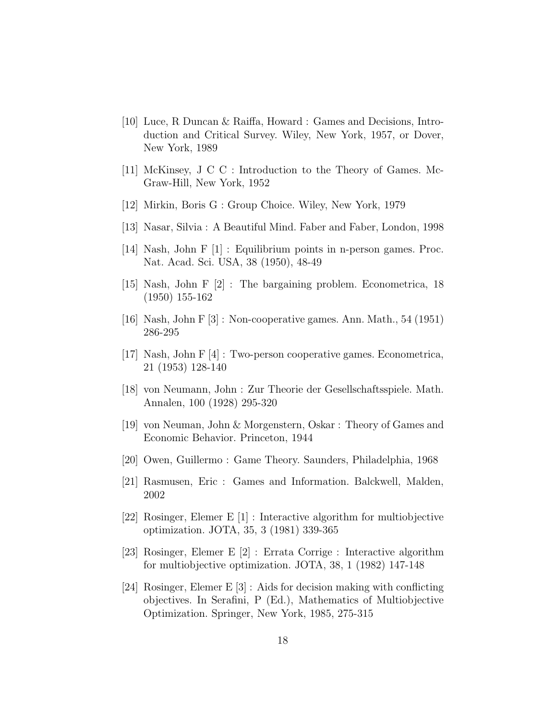- [10] Luce, R Duncan & Raiffa, Howard : Games and Decisions, Introduction and Critical Survey. Wiley, New York, 1957, or Dover, New York, 1989
- [11] McKinsey, J C C : Introduction to the Theory of Games. Mc-Graw-Hill, New York, 1952
- [12] Mirkin, Boris G : Group Choice. Wiley, New York, 1979
- [13] Nasar, Silvia : A Beautiful Mind. Faber and Faber, London, 1998
- [14] Nash, John F [1] : Equilibrium points in n-person games. Proc. Nat. Acad. Sci. USA, 38 (1950), 48-49
- [15] Nash, John F [2] : The bargaining problem. Econometrica, 18 (1950) 155-162
- [16] Nash, John F [3] : Non-cooperative games. Ann. Math., 54 (1951) 286-295
- [17] Nash, John F [4] : Two-person cooperative games. Econometrica, 21 (1953) 128-140
- [18] von Neumann, John : Zur Theorie der Gesellschaftsspiele. Math. Annalen, 100 (1928) 295-320
- [19] von Neuman, John & Morgenstern, Oskar : Theory of Games and Economic Behavior. Princeton, 1944
- [20] Owen, Guillermo : Game Theory. Saunders, Philadelphia, 1968
- [21] Rasmusen, Eric : Games and Information. Balckwell, Malden, 2002
- [22] Rosinger, Elemer E [1] : Interactive algorithm for multiobjective optimization. JOTA, 35, 3 (1981) 339-365
- [23] Rosinger, Elemer E [2] : Errata Corrige : Interactive algorithm for multiobjective optimization. JOTA, 38, 1 (1982) 147-148
- [24] Rosinger, Elemer E [3] : Aids for decision making with conflicting objectives. In Serafini, P (Ed.), Mathematics of Multiobjective Optimization. Springer, New York, 1985, 275-315